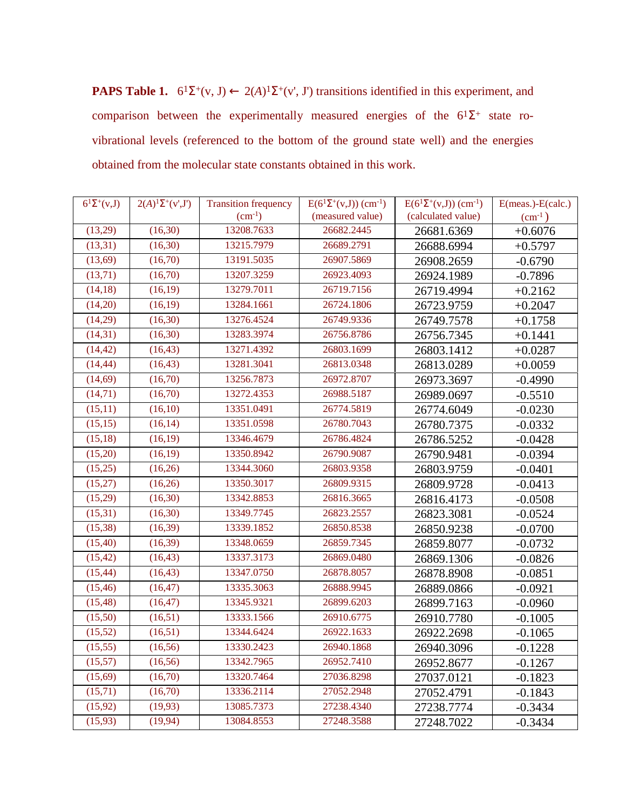**PAPS Table 1.**  $6^1\Sigma^+(v, J) \leftarrow 2(A)^1\Sigma^+(v', J')$  transitions identified in this experiment, and comparison between the experimentally measured energies of the  $6^{1}\Sigma^{+}$  state rovibrational levels (referenced to the bottom of the ground state well) and the energies obtained from the molecular state constants obtained in this work.

| $6^1\Sigma^+(v,J)$ | $2(A)^{1}\Sigma^{+}(v',J')$ | <b>Transition frequency</b> | $E(6^{1}\Sigma^{+}(v,J))$ (cm <sup>-1</sup> ) | $E(6^{1}\Sigma^{+}(v,J))$ (cm <sup>-1</sup> ) | $E(meas.)-E(calc.)$ |
|--------------------|-----------------------------|-----------------------------|-----------------------------------------------|-----------------------------------------------|---------------------|
|                    |                             | $(cm^{-1})$                 | (measured value)                              | (calculated value)                            | $\rm(cm^1)$         |
| (13,29)            | (16,30)                     | 13208.7633                  | 26682.2445                                    | 26681.6369                                    | $+0.6076$           |
| (13,31)            | (16,30)                     | 13215.7979                  | 26689.2791                                    | 26688.6994                                    | $+0.5797$           |
| (13,69)            | (16,70)                     | 13191.5035                  | 26907.5869                                    | 26908.2659                                    | $-0.6790$           |
| (13,71)            | (16,70)                     | 13207.3259                  | 26923.4093                                    | 26924.1989                                    | $-0.7896$           |
| (14, 18)           | (16,19)                     | 13279.7011                  | 26719.7156                                    | 26719.4994                                    | $+0.2162$           |
| (14,20)            | (16, 19)                    | 13284.1661                  | 26724.1806                                    | 26723.9759                                    | $+0.2047$           |
| (14,29)            | (16,30)                     | 13276.4524                  | 26749.9336                                    | 26749.7578                                    | $+0.1758$           |
| (14,31)            | (16,30)                     | 13283.3974                  | 26756.8786                                    | 26756.7345                                    | $+0.1441$           |
| (14, 42)           | (16, 43)                    | 13271.4392                  | 26803.1699                                    | 26803.1412                                    | $+0.0287$           |
| (14, 44)           | (16, 43)                    | 13281.3041                  | 26813.0348                                    | 26813.0289                                    | $+0.0059$           |
| (14,69)            | (16,70)                     | 13256.7873                  | 26972.8707                                    | 26973.3697                                    | $-0.4990$           |
| (14, 71)           | (16,70)                     | 13272.4353                  | 26988.5187                                    | 26989.0697                                    | $-0.5510$           |
| (15,11)            | (16,10)                     | 13351.0491                  | 26774.5819                                    | 26774.6049                                    | $-0.0230$           |
| (15,15)            | (16, 14)                    | 13351.0598                  | 26780.7043                                    | 26780.7375                                    | $-0.0332$           |
| (15, 18)           | (16,19)                     | 13346.4679                  | 26786.4824                                    | 26786.5252                                    | $-0.0428$           |
| (15,20)            | (16,19)                     | 13350.8942                  | 26790.9087                                    | 26790.9481                                    | $-0.0394$           |
| (15,25)            | (16,26)                     | 13344.3060                  | 26803.9358                                    | 26803.9759                                    | $-0.0401$           |
| (15,27)            | (16,26)                     | 13350.3017                  | 26809.9315                                    | 26809.9728                                    | $-0.0413$           |
| (15,29)            | (16,30)                     | 13342.8853                  | 26816.3665                                    | 26816.4173                                    | $-0.0508$           |
| (15,31)            | (16,30)                     | 13349.7745                  | 26823.2557                                    | 26823.3081                                    | $-0.0524$           |
| (15,38)            | (16,39)                     | 13339.1852                  | 26850.8538                                    | 26850.9238                                    | $-0.0700$           |
| (15, 40)           | (16, 39)                    | 13348.0659                  | 26859.7345                                    | 26859.8077                                    | $-0.0732$           |
| (15, 42)           | (16, 43)                    | 13337.3173                  | 26869.0480                                    | 26869.1306                                    | $-0.0826$           |
| (15, 44)           | (16, 43)                    | 13347.0750                  | 26878.8057                                    | 26878.8908                                    | $-0.0851$           |
| (15, 46)           | (16, 47)                    | 13335.3063                  | 26888.9945                                    | 26889.0866                                    | $-0.0921$           |
| (15, 48)           | (16, 47)                    | 13345.9321                  | 26899.6203                                    | 26899.7163                                    | $-0.0960$           |
| (15,50)            | (16,51)                     | 13333.1566                  | 26910.6775                                    | 26910.7780                                    | $-0.1005$           |
| (15, 52)           | (16, 51)                    | 13344.6424                  | 26922.1633                                    | 26922.2698                                    | $-0.1065$           |
| (15,55)            | (16, 56)                    | 13330.2423                  | 26940.1868                                    | 26940.3096                                    | $-0.1228$           |
| (15,57)            | (16, 56)                    | 13342.7965                  | 26952.7410                                    | 26952.8677                                    | $-0.1267$           |
| (15,69)            | (16,70)                     | 13320.7464                  | 27036.8298                                    | 27037.0121                                    | $-0.1823$           |
| (15,71)            | (16,70)                     | 13336.2114                  | 27052.2948                                    | 27052.4791                                    | $-0.1843$           |
| (15, 92)           | (19,93)                     | 13085.7373                  | 27238.4340                                    | 27238.7774                                    | $-0.3434$           |
| (15, 93)           | (19, 94)                    | 13084.8553                  | 27248.3588                                    | 27248.7022                                    | $-0.3434$           |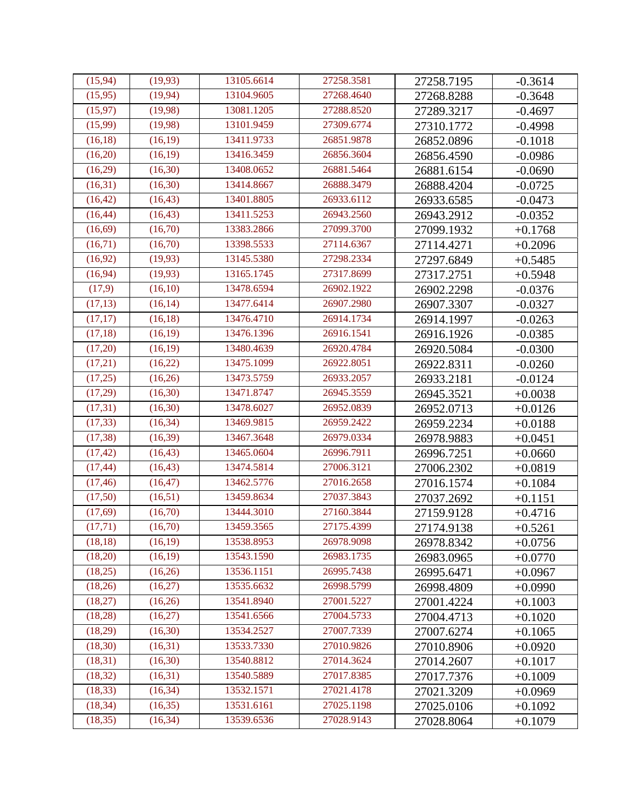| (15, 94) | (19, 93) | 13105.6614 | 27258.3581 | 27258.7195 | $-0.3614$ |
|----------|----------|------------|------------|------------|-----------|
| (15,95)  | (19, 94) | 13104.9605 | 27268.4640 | 27268.8288 | $-0.3648$ |
| (15, 97) | (19,98)  | 13081.1205 | 27288.8520 | 27289.3217 | $-0.4697$ |
| (15,99)  | (19,98)  | 13101.9459 | 27309.6774 | 27310.1772 | $-0.4998$ |
| (16, 18) | (16,19)  | 13411.9733 | 26851.9878 | 26852.0896 | $-0.1018$ |
| (16,20)  | (16, 19) | 13416.3459 | 26856.3604 | 26856.4590 | $-0.0986$ |
| (16,29)  | (16,30)  | 13408.0652 | 26881.5464 | 26881.6154 | $-0.0690$ |
| (16,31)  | (16,30)  | 13414.8667 | 26888.3479 | 26888.4204 | $-0.0725$ |
| (16, 42) | (16, 43) | 13401.8805 | 26933.6112 | 26933.6585 | $-0.0473$ |
| (16, 44) | (16, 43) | 13411.5253 | 26943.2560 | 26943.2912 | $-0.0352$ |
| (16, 69) | (16,70)  | 13383.2866 | 27099.3700 | 27099.1932 | $+0.1768$ |
| (16,71)  | (16,70)  | 13398.5533 | 27114.6367 | 27114.4271 | $+0.2096$ |
| (16, 92) | (19,93)  | 13145.5380 | 27298.2334 | 27297.6849 | $+0.5485$ |
| (16, 94) | (19,93)  | 13165.1745 | 27317.8699 | 27317.2751 | $+0.5948$ |
| (17,9)   | (16,10)  | 13478.6594 | 26902.1922 | 26902.2298 | $-0.0376$ |
| (17, 13) | (16, 14) | 13477.6414 | 26907.2980 | 26907.3307 | $-0.0327$ |
| (17, 17) | (16, 18) | 13476.4710 | 26914.1734 | 26914.1997 | $-0.0263$ |
| (17, 18) | (16,19)  | 13476.1396 | 26916.1541 | 26916.1926 | $-0.0385$ |
| (17,20)  | (16,19)  | 13480.4639 | 26920.4784 | 26920.5084 | $-0.0300$ |
| (17,21)  | (16,22)  | 13475.1099 | 26922.8051 | 26922.8311 | $-0.0260$ |
| (17,25)  | (16,26)  | 13473.5759 | 26933.2057 | 26933.2181 | $-0.0124$ |
| (17,29)  | (16,30)  | 13471.8747 | 26945.3559 | 26945.3521 | $+0.0038$ |
| (17, 31) | (16,30)  | 13478.6027 | 26952.0839 | 26952.0713 | $+0.0126$ |
| (17, 33) | (16, 34) | 13469.9815 | 26959.2422 | 26959.2234 | $+0.0188$ |
| (17, 38) | (16,39)  | 13467.3648 | 26979.0334 | 26978.9883 | $+0.0451$ |
| (17, 42) | (16, 43) | 13465.0604 | 26996.7911 | 26996.7251 | $+0.0660$ |
| (17, 44) | (16, 43) | 13474.5814 | 27006.3121 | 27006.2302 | $+0.0819$ |
| (17, 46) | (16, 47) | 13462.5776 | 27016.2658 | 27016.1574 | $+0.1084$ |
| (17,50)  | (16,51)  | 13459.8634 | 27037.3843 | 27037.2692 | $+0.1151$ |
| (17,69)  | (16,70)  | 13444.3010 | 27160.3844 | 27159.9128 | $+0.4716$ |
| (17,71)  | (16,70)  | 13459.3565 | 27175.4399 | 27174.9138 | $+0.5261$ |
| (18, 18) | (16,19)  | 13538.8953 | 26978.9098 | 26978.8342 | $+0.0756$ |
| (18,20)  | (16,19)  | 13543.1590 | 26983.1735 | 26983.0965 | $+0.0770$ |
| (18,25)  | (16,26)  | 13536.1151 | 26995.7438 | 26995.6471 | $+0.0967$ |
| (18,26)  | (16,27)  | 13535.6632 | 26998.5799 | 26998.4809 | $+0.0990$ |
| (18,27)  | (16,26)  | 13541.8940 | 27001.5227 | 27001.4224 | $+0.1003$ |
| (18,28)  | (16,27)  | 13541.6566 | 27004.5733 | 27004.4713 | $+0.1020$ |
| (18,29)  | (16,30)  | 13534.2527 | 27007.7339 | 27007.6274 | $+0.1065$ |
| (18, 30) | (16,31)  | 13533.7330 | 27010.9826 | 27010.8906 | $+0.0920$ |
| (18,31)  | (16,30)  | 13540.8812 | 27014.3624 | 27014.2607 | $+0.1017$ |
| (18, 32) | (16,31)  | 13540.5889 | 27017.8385 | 27017.7376 | $+0.1009$ |
| (18, 33) | (16, 34) | 13532.1571 | 27021.4178 | 27021.3209 | $+0.0969$ |
| (18, 34) | (16,35)  | 13531.6161 | 27025.1198 | 27025.0106 | $+0.1092$ |
| (18, 35) | (16, 34) | 13539.6536 | 27028.9143 | 27028.8064 | $+0.1079$ |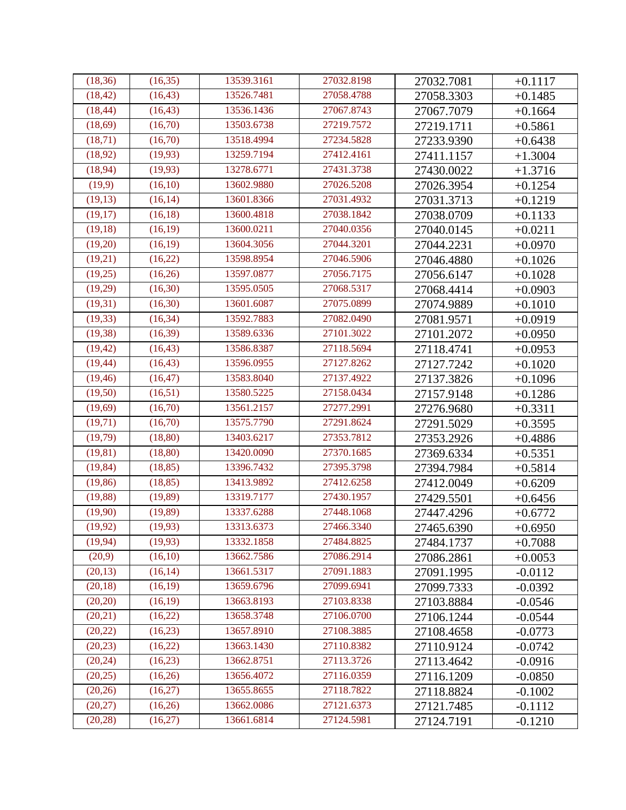| (18, 36) | (16,35)  | 13539.3161 | 27032.8198 | 27032.7081 | $+0.1117$ |
|----------|----------|------------|------------|------------|-----------|
| (18, 42) | (16, 43) | 13526.7481 | 27058.4788 | 27058.3303 | $+0.1485$ |
| (18, 44) | (16, 43) | 13536.1436 | 27067.8743 | 27067.7079 | $+0.1664$ |
| (18,69)  | (16,70)  | 13503.6738 | 27219.7572 | 27219.1711 | $+0.5861$ |
| (18, 71) | (16,70)  | 13518.4994 | 27234.5828 | 27233.9390 | $+0.6438$ |
| (18, 92) | (19,93)  | 13259.7194 | 27412.4161 | 27411.1157 | $+1.3004$ |
| (18,94)  | (19,93)  | 13278.6771 | 27431.3738 | 27430.0022 | $+1.3716$ |
| (19,9)   | (16,10)  | 13602.9880 | 27026.5208 | 27026.3954 | $+0.1254$ |
| (19, 13) | (16, 14) | 13601.8366 | 27031.4932 | 27031.3713 | $+0.1219$ |
| (19,17)  | (16, 18) | 13600.4818 | 27038.1842 | 27038.0709 | $+0.1133$ |
| (19, 18) | (16,19)  | 13600.0211 | 27040.0356 | 27040.0145 | $+0.0211$ |
| (19,20)  | (16,19)  | 13604.3056 | 27044.3201 | 27044.2231 | $+0.0970$ |
| (19,21)  | (16,22)  | 13598.8954 | 27046.5906 | 27046.4880 | $+0.1026$ |
| (19,25)  | (16,26)  | 13597.0877 | 27056.7175 | 27056.6147 | $+0.1028$ |
| (19,29)  | (16,30)  | 13595.0505 | 27068.5317 | 27068.4414 | $+0.0903$ |
| (19,31)  | (16,30)  | 13601.6087 | 27075.0899 | 27074.9889 | $+0.1010$ |
| (19, 33) | (16, 34) | 13592.7883 | 27082.0490 | 27081.9571 | $+0.0919$ |
| (19, 38) | (16,39)  | 13589.6336 | 27101.3022 | 27101.2072 | $+0.0950$ |
| (19, 42) | (16, 43) | 13586.8387 | 27118.5694 | 27118.4741 | $+0.0953$ |
| (19, 44) | (16, 43) | 13596.0955 | 27127.8262 | 27127.7242 | $+0.1020$ |
| (19, 46) | (16, 47) | 13583.8040 | 27137.4922 | 27137.3826 | $+0.1096$ |
| (19,50)  | (16,51)  | 13580.5225 | 27158.0434 | 27157.9148 | $+0.1286$ |
| (19,69)  | (16,70)  | 13561.2157 | 27277.2991 | 27276.9680 | $+0.3311$ |
| (19,71)  | (16,70)  | 13575.7790 | 27291.8624 | 27291.5029 | $+0.3595$ |
| (19,79)  | (18, 80) | 13403.6217 | 27353.7812 | 27353.2926 | $+0.4886$ |
| (19, 81) | (18, 80) | 13420.0090 | 27370.1685 | 27369.6334 | $+0.5351$ |
| (19, 84) | (18, 85) | 13396.7432 | 27395.3798 | 27394.7984 | $+0.5814$ |
| (19, 86) | (18, 85) | 13413.9892 | 27412.6258 | 27412.0049 | $+0.6209$ |
| (19, 88) | (19, 89) | 13319.7177 | 27430.1957 | 27429.5501 | $+0.6456$ |
| (19,90)  | (19, 89) | 13337.6288 | 27448.1068 | 27447.4296 | $+0.6772$ |
| (19, 92) | (19,93)  | 13313.6373 | 27466.3340 | 27465.6390 | $+0.6950$ |
| (19, 94) | (19, 93) | 13332.1858 | 27484.8825 | 27484.1737 | $+0.7088$ |
| (20,9)   | (16,10)  | 13662.7586 | 27086.2914 | 27086.2861 | $+0.0053$ |
| (20, 13) | (16, 14) | 13661.5317 | 27091.1883 | 27091.1995 | $-0.0112$ |
| (20, 18) | (16,19)  | 13659.6796 | 27099.6941 | 27099.7333 | $-0.0392$ |
| (20, 20) | (16, 19) | 13663.8193 | 27103.8338 | 27103.8884 | $-0.0546$ |
| (20,21)  | (16,22)  | 13658.3748 | 27106.0700 | 27106.1244 | $-0.0544$ |
| (20, 22) | (16,23)  | 13657.8910 | 27108.3885 | 27108.4658 | $-0.0773$ |
| (20, 23) | (16,22)  | 13663.1430 | 27110.8382 | 27110.9124 | $-0.0742$ |
| (20, 24) | (16,23)  | 13662.8751 | 27113.3726 | 27113.4642 | $-0.0916$ |
| (20,25)  | (16,26)  | 13656.4072 | 27116.0359 | 27116.1209 | $-0.0850$ |
| (20, 26) | (16,27)  | 13655.8655 | 27118.7822 | 27118.8824 | $-0.1002$ |
| (20,27)  | (16,26)  | 13662.0086 | 27121.6373 | 27121.7485 | $-0.1112$ |
| (20, 28) | (16,27)  | 13661.6814 | 27124.5981 | 27124.7191 | $-0.1210$ |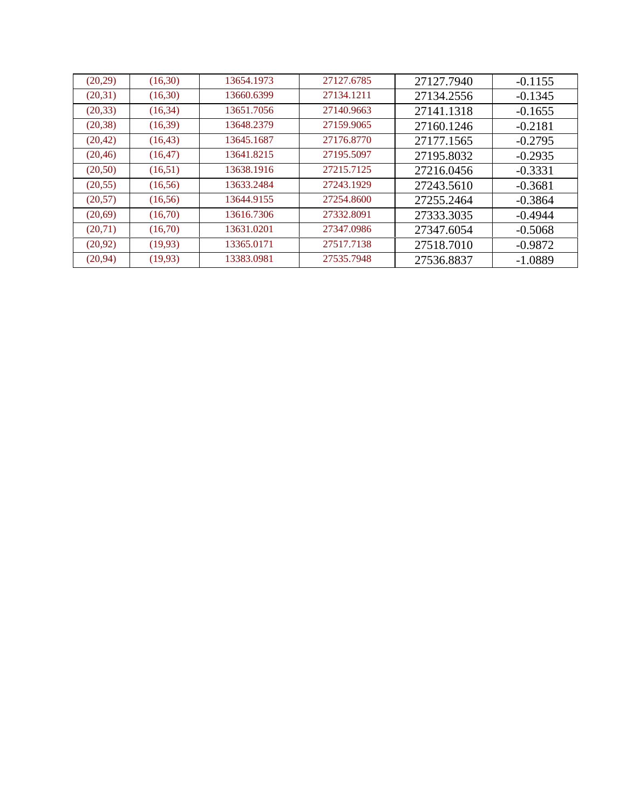| (20,29)  | (16,30)  | 13654.1973 | 27127.6785 | 27127.7940 | $-0.1155$ |
|----------|----------|------------|------------|------------|-----------|
| (20,31)  | (16,30)  | 13660.6399 | 27134.1211 | 27134.2556 | $-0.1345$ |
| (20, 33) | (16, 34) | 13651.7056 | 27140.9663 | 27141.1318 | $-0.1655$ |
| (20, 38) | (16,39)  | 13648.2379 | 27159.9065 | 27160.1246 | $-0.2181$ |
| (20, 42) | (16, 43) | 13645.1687 | 27176.8770 | 27177.1565 | $-0.2795$ |
| (20, 46) | (16, 47) | 13641.8215 | 27195.5097 | 27195.8032 | $-0.2935$ |
| (20,50)  | (16,51)  | 13638.1916 | 27215.7125 | 27216.0456 | $-0.3331$ |
| (20, 55) | (16,56)  | 13633.2484 | 27243.1929 | 27243.5610 | $-0.3681$ |
| (20,57)  | (16,56)  | 13644.9155 | 27254.8600 | 27255.2464 | $-0.3864$ |
| (20,69)  | (16,70)  | 13616.7306 | 27332.8091 | 27333.3035 | $-0.4944$ |
| (20,71)  | (16,70)  | 13631.0201 | 27347.0986 | 27347.6054 | $-0.5068$ |
| (20, 92) | (19,93)  | 13365.0171 | 27517.7138 | 27518.7010 | $-0.9872$ |
| (20, 94) | (19,93)  | 13383.0981 | 27535.7948 | 27536.8837 | $-1.0889$ |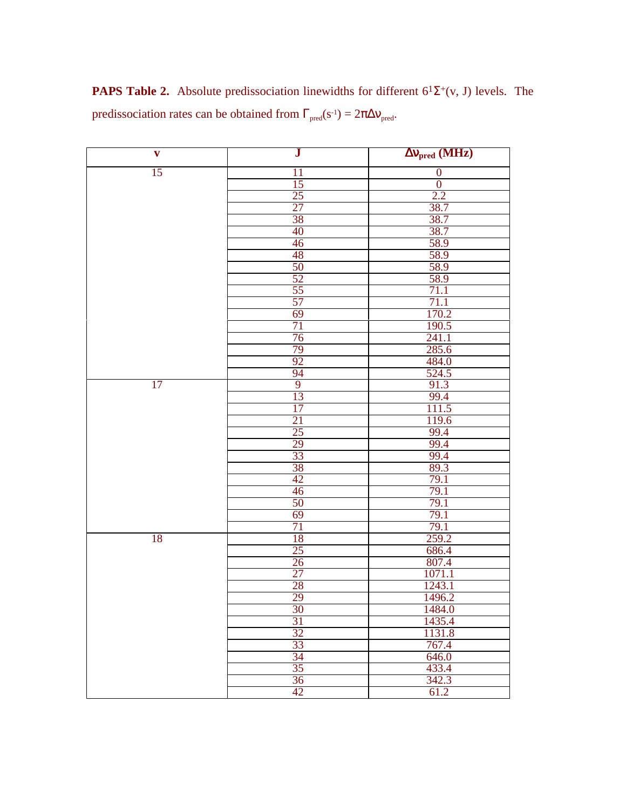**PAPS Table 2.** Absolute predissociation linewidths for different  $6^1\Sigma^+(v, J)$  levels. The predissociation rates can be obtained from  $\Gamma_{\text{pred}}(s^{-1}) = 2\pi \Delta v_{\text{pred}}$ .

| $\mathbf{v}$ | ${\bf J}$       | $\Delta v_{pred}$ (MHz) |
|--------------|-----------------|-------------------------|
| 15           | 11              | $\boldsymbol{0}$        |
|              | 15              | $\boldsymbol{0}$        |
|              | 25              | 2.2                     |
|              | 27              | 38.7                    |
|              | 38              | 38.7                    |
|              | 40              | 38.7                    |
|              | 46              | 58.9                    |
|              | 48              | 58.9                    |
|              | 50              | 58.9                    |
|              | 52              | 58.9                    |
|              | 55              | 71.1                    |
|              | 57              | 71.1                    |
|              | 69              | 170.2                   |
|              | 71              | <u>190.5</u>            |
|              | 76              | 241.1                   |
|              | 79              | 285.6                   |
|              | 92              | 484.0                   |
|              | 94              | 524.5                   |
| 17           | $\overline{9}$  | 91.3                    |
|              | 13              | 99.4                    |
|              | 17              | 111.5                   |
|              | 21              | 119.6                   |
|              | 25              | 99.4                    |
|              | 29              | 99.4                    |
|              | 33              | 99.4                    |
|              | 38              | 89.3                    |
|              | 42              | 79.1                    |
|              | 46              | 79.1                    |
|              | 50              | 79.1                    |
|              | 69              | 79.1                    |
|              | 71              | 79.1                    |
| 18           | 18              | 259.2                   |
|              | 25              | 686.4                   |
|              | 26              | 807.4                   |
|              | 27              | 1071.1                  |
|              | 28              | 1243.1                  |
|              | 29              | 1496.2                  |
|              | $\frac{30}{31}$ | $\frac{1484.0}{1435.4}$ |
|              |                 |                         |
|              | $\frac{32}{33}$ | 1131.8                  |
|              |                 | $\frac{767.4}{646.0}$   |
|              | 34              |                         |
|              | 35              |                         |
|              | 36              | 342.3                   |
|              | 42              | 61.2                    |